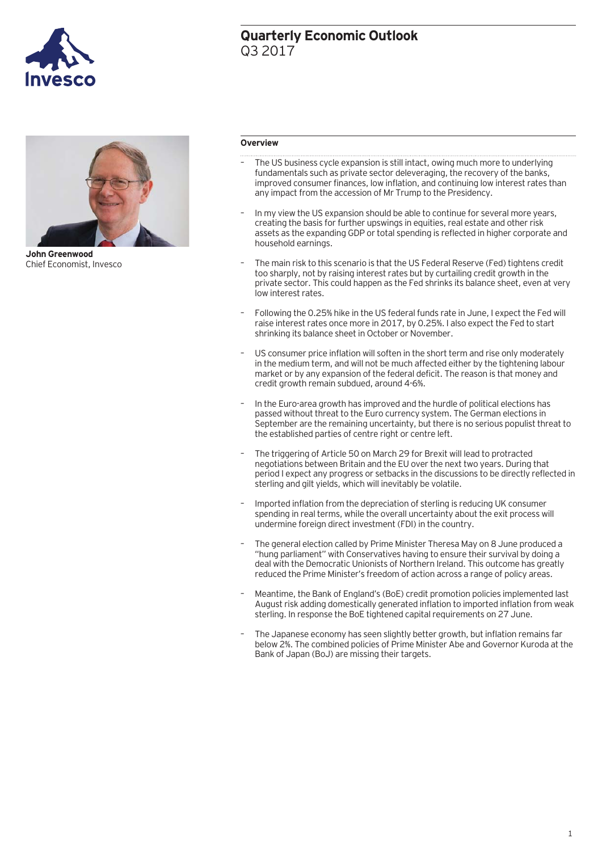

# **Quarterly Economic Outlook** Q3 2017



**John Greenwood**  Chief Economist, Invesco

### **Overview**

- The US business cycle expansion is still intact, owing much more to underlying fundamentals such as private sector deleveraging, the recovery of the banks, improved consumer finances, low inflation, and continuing low interest rates than any impact from the accession of Mr Trump to the Presidency.
- In my view the US expansion should be able to continue for several more years, creating the basis for further upswings in equities, real estate and other risk assets as the expanding GDP or total spending is reflected in higher corporate and household earnings.
- The main risk to this scenario is that the US Federal Reserve (Fed) tightens credit too sharply, not by raising interest rates but by curtailing credit growth in the private sector. This could happen as the Fed shrinks its balance sheet, even at very low interest rates.
- Following the 0.25% hike in the US federal funds rate in June, I expect the Fed will raise interest rates once more in 2017, by 0.25%. I also expect the Fed to start shrinking its balance sheet in October or November.
- US consumer price inflation will soften in the short term and rise only moderately in the medium term, and will not be much affected either by the tightening labour market or by any expansion of the federal deficit. The reason is that money and credit growth remain subdued, around 4-6%.
- In the Euro-area growth has improved and the hurdle of political elections has passed without threat to the Euro currency system. The German elections in September are the remaining uncertainty, but there is no serious populist threat to the established parties of centre right or centre left.
- The triggering of Article 50 on March 29 for Brexit will lead to protracted negotiations between Britain and the EU over the next two years. During that period I expect any progress or setbacks in the discussions to be directly reflected in sterling and gilt yields, which will inevitably be volatile.
- Imported inflation from the depreciation of sterling is reducing UK consumer spending in real terms, while the overall uncertainty about the exit process will undermine foreign direct investment (FDI) in the country.
- The general election called by Prime Minister Theresa May on 8 June produced a "hung parliament" with Conservatives having to ensure their survival by doing a deal with the Democratic Unionists of Northern Ireland. This outcome has greatly reduced the Prime Minister's freedom of action across a range of policy areas.
- Meantime, the Bank of England's (BoE) credit promotion policies implemented last August risk adding domestically generated inflation to imported inflation from weak sterling. In response the BoE tightened capital requirements on 27 June.
- The Japanese economy has seen slightly better growth, but inflation remains far below 2%. The combined policies of Prime Minister Abe and Governor Kuroda at the Bank of Japan (BoJ) are missing their targets.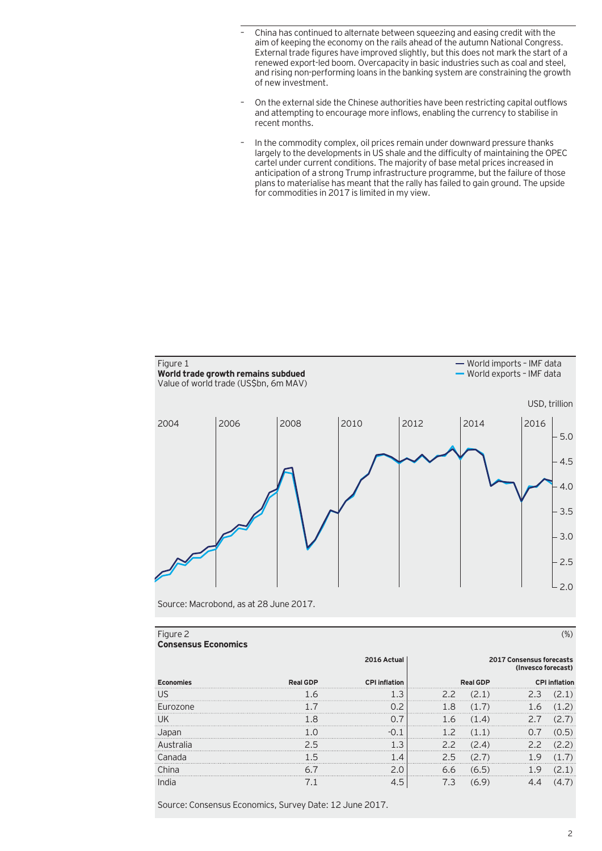- China has continued to alternate between squeezing and easing credit with the aim of keeping the economy on the rails ahead of the autumn National Congress. External trade figures have improved slightly, but this does not mark the start of a renewed export-led boom. Overcapacity in basic industries such as coal and steel, and rising non-performing loans in the banking system are constraining the growth of new investment.
- On the external side the Chinese authorities have been restricting capital outflows and attempting to encourage more inflows, enabling the currency to stabilise in recent months.
- In the commodity complex, oil prices remain under downward pressure thanks largely to the developments in US shale and the difficulty of maintaining the OPEC cartel under current conditions. The majority of base metal prices increased in anticipation of a strong Trump infrastructure programme, but the failure of those plans to materialise has meant that the rally has failed to gain ground. The upside for commodities in 2017 is limited in my view.



Source: Macrobond, as at 28 June 2017.

| Figure 2<br><b>Consensus Economics</b> |                                         |                      |                 |                      |
|----------------------------------------|-----------------------------------------|----------------------|-----------------|----------------------|
|                                        | 2016 Actual<br>2017 Consensus forecasts |                      |                 | (Invesco forecast)   |
| <b>Economies</b>                       | <b>Real GDP</b>                         | <b>CPI</b> inflation | <b>Real GDP</b> | <b>CPI inflation</b> |
| US.                                    | $\sqrt{2}$                              | L.3                  | 2.2             | 2 3                  |
| Eurozone                               |                                         |                      |                 |                      |
| l Ik                                   | -8                                      |                      | 16<br>$\Delta$  |                      |
| Japar                                  |                                         |                      | .               |                      |
|                                        |                                         |                      | 2.2             |                      |
| Canada                                 |                                         |                      | 25              |                      |
| .`hina                                 |                                         |                      | 66              |                      |
|                                        |                                         | $.5^{\circ}$         | 7.3             |                      |

Source: Consensus Economics, Survey Date: 12 June 2017.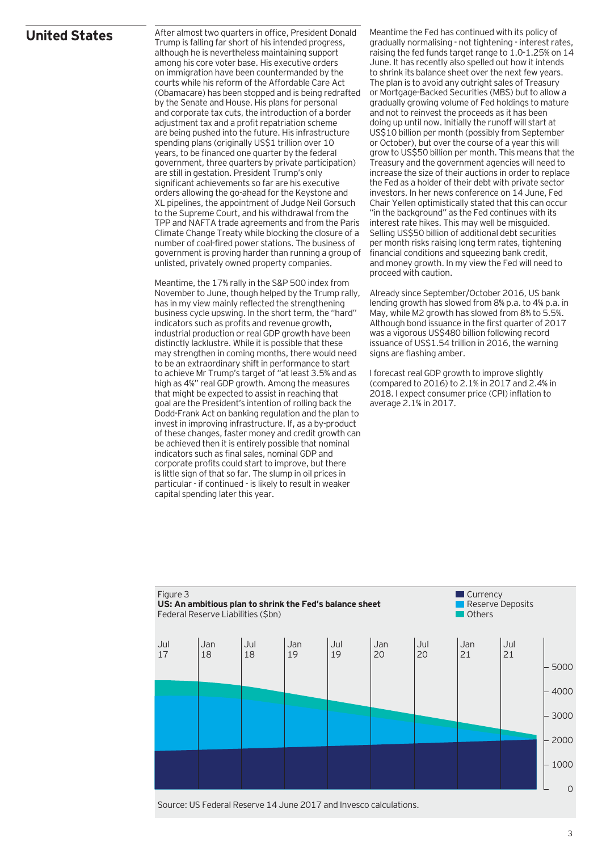# **United States**

After almost two quarters in office, President Donald Trump is falling far short of his intended progress, although he is nevertheless maintaining support among his core voter base. His executive orders on immigration have been countermanded by the courts while his reform of the Affordable Care Act (Obamacare) has been stopped and is being redrafted by the Senate and House. His plans for personal and corporate tax cuts, the introduction of a border adjustment tax and a profit repatriation scheme are being pushed into the future. His infrastructure spending plans (originally US\$1 trillion over 10 years, to be financed one quarter by the federal government, three quarters by private participation) are still in gestation. President Trump's only significant achievements so far are his executive orders allowing the go-ahead for the Keystone and XL pipelines, the appointment of Judge Neil Gorsuch to the Supreme Court, and his withdrawal from the TPP and NAFTA trade agreements and from the Paris Climate Change Treaty while blocking the closure of a number of coal-fired power stations. The business of government is proving harder than running a group of unlisted, privately owned property companies.

Meantime, the 17% rally in the S&P 500 index from November to June, though helped by the Trump rally, has in my view mainly reflected the strengthening business cycle upswing. In the short term, the "hard" indicators such as profits and revenue growth, industrial production or real GDP growth have been distinctly lacklustre. While it is possible that these may strengthen in coming months, there would need to be an extraordinary shift in performance to start to achieve Mr Trump's target of "at least 3.5% and as high as 4%" real GDP growth. Among the measures that might be expected to assist in reaching that goal are the President's intention of rolling back the Dodd-Frank Act on banking regulation and the plan to invest in improving infrastructure. If, as a by-product of these changes, faster money and credit growth can be achieved then it is entirely possible that nominal indicators such as final sales, nominal GDP and corporate profits could start to improve, but there is little sign of that so far. The slump in oil prices in particular - if continued - is likely to result in weaker capital spending later this year.

Meantime the Fed has continued with its policy of gradually normalising - not tightening - interest rates, raising the fed funds target range to 1.0-1.25% on 14 June. It has recently also spelled out how it intends to shrink its balance sheet over the next few years. The plan is to avoid any outright sales of Treasury or Mortgage-Backed Securities (MBS) but to allow a gradually growing volume of Fed holdings to mature and not to reinvest the proceeds as it has been doing up until now. Initially the runoff will start at US\$10 billion per month (possibly from September or October), but over the course of a year this will grow to US\$50 billion per month. This means that the Treasury and the government agencies will need to increase the size of their auctions in order to replace the Fed as a holder of their debt with private sector investors. In her news conference on 14 June, Fed Chair Yellen optimistically stated that this can occur "in the background" as the Fed continues with its interest rate hikes. This may well be misguided. Selling US\$50 billion of additional debt securities per month risks raising long term rates, tightening financial conditions and squeezing bank credit, and money growth. In my view the Fed will need to proceed with caution.

Already since September/October 2016, US bank lending growth has slowed from 8% p.a. to 4% p.a. in May, while M2 growth has slowed from 8% to 5.5%. Although bond issuance in the first quarter of 2017 was a vigorous US\$480 billion following record issuance of US\$1.54 trillion in 2016, the warning signs are flashing amber.

I forecast real GDP growth to improve slightly (compared to 2016) to 2.1% in 2017 and 2.4% in 2018. I expect consumer price (CPI) inflation to average 2.1% in 2017.



Source: US Federal Reserve 14 June 2017 and Invesco calculations.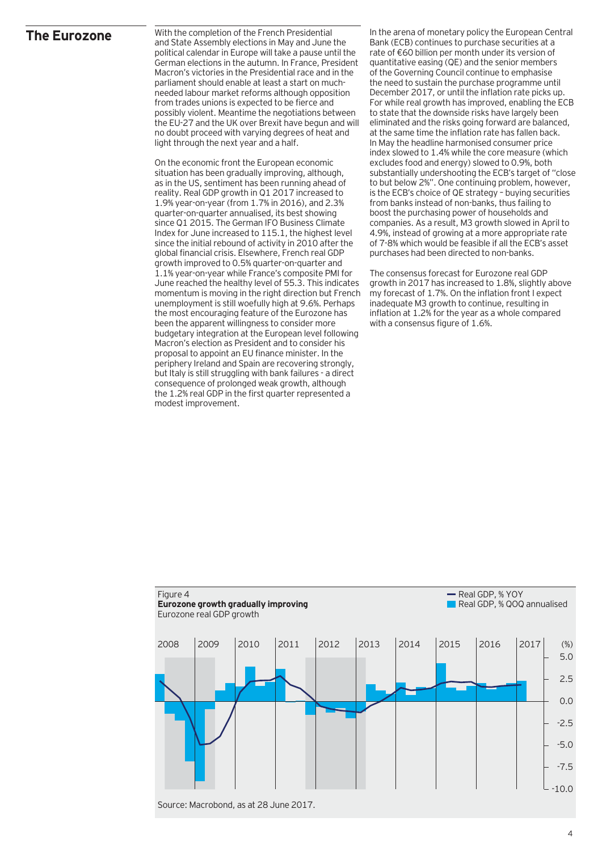### **The Eurozone**

With the completion of the French Presidential and State Assembly elections in May and June the political calendar in Europe will take a pause until the German elections in the autumn. In France, President Macron's victories in the Presidential race and in the parliament should enable at least a start on muchneeded labour market reforms although opposition from trades unions is expected to be fierce and possibly violent. Meantime the negotiations between the EU-27 and the UK over Brexit have begun and will no doubt proceed with varying degrees of heat and light through the next year and a half.

On the economic front the European economic situation has been gradually improving, although, as in the US, sentiment has been running ahead of reality. Real GDP growth in Q1 2017 increased to 1.9% year-on-year (from 1.7% in 2016), and 2.3% quarter-on-quarter annualised, its best showing since Q1 2015. The German IFO Business Climate Index for June increased to 115.1, the highest level since the initial rebound of activity in 2010 after the global financial crisis. Elsewhere, French real GDP growth improved to 0.5% quarter-on-quarter and 1.1% year-on-year while France's composite PMI for June reached the healthy level of 55.3. This indicates momentum is moving in the right direction but French unemployment is still woefully high at 9.6%. Perhaps the most encouraging feature of the Eurozone has been the apparent willingness to consider more budgetary integration at the European level following Macron's election as President and to consider his proposal to appoint an EU finance minister. In the periphery Ireland and Spain are recovering strongly, but Italy is still struggling with bank failures - a direct consequence of prolonged weak growth, although the 1.2% real GDP in the first quarter represented a modest improvement.

In the arena of monetary policy the European Central Bank (ECB) continues to purchase securities at a rate of €60 billion per month under its version of quantitative easing (QE) and the senior members of the Governing Council continue to emphasise the need to sustain the purchase programme until December 2017, or until the inflation rate picks up. For while real growth has improved, enabling the ECB to state that the downside risks have largely been eliminated and the risks going forward are balanced, at the same time the inflation rate has fallen back. In May the headline harmonised consumer price index slowed to 1.4% while the core measure (which excludes food and energy) slowed to 0.9%, both substantially undershooting the ECB's target of "close to but below 2%". One continuing problem, however, is the ECB's choice of QE strategy – buying securities from banks instead of non-banks, thus failing to boost the purchasing power of households and companies. As a result, M3 growth slowed in April to 4.9%, instead of growing at a more appropriate rate of 7-8% which would be feasible if all the ECB's asset purchases had been directed to non-banks.

The consensus forecast for Eurozone real GDP growth in 2017 has increased to 1.8%, slightly above my forecast of 1.7%. On the inflation front I expect inadequate M3 growth to continue, resulting in inflation at 1.2% for the year as a whole compared with a consensus figure of 1.6%.

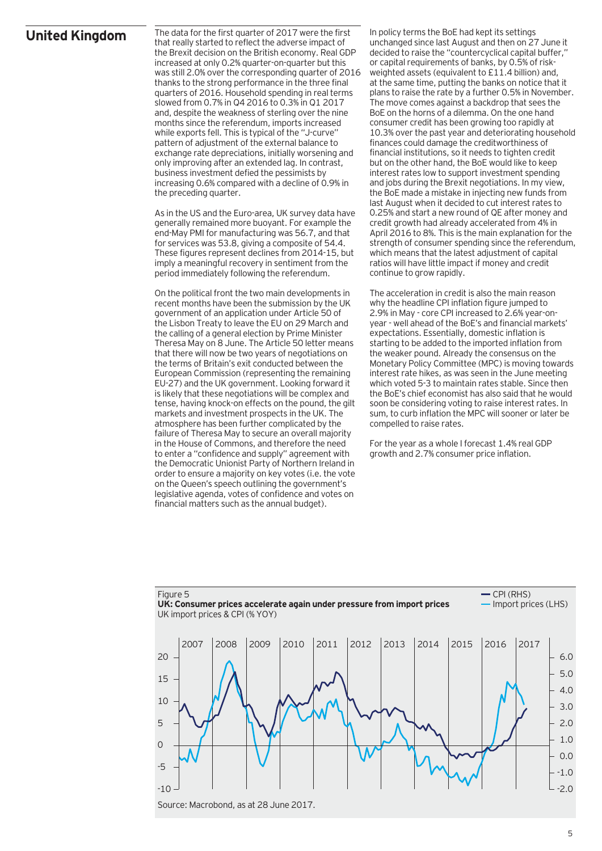# **United Kingdom**

The data for the first quarter of 2017 were the first that really started to reflect the adverse impact of the Brexit decision on the British economy. Real GDP increased at only 0.2% quarter-on-quarter but this was still 2.0% over the corresponding quarter of 2016 thanks to the strong performance in the three final quarters of 2016. Household spending in real terms slowed from 0.7% in Q4 2016 to 0.3% in Q1 2017 and, despite the weakness of sterling over the nine months since the referendum, imports increased while exports fell. This is typical of the "J-curve" pattern of adjustment of the external balance to exchange rate depreciations, initially worsening and only improving after an extended lag. In contrast, business investment defied the pessimists by increasing 0.6% compared with a decline of 0.9% in the preceding quarter.

As in the US and the Euro-area, UK survey data have generally remained more buoyant. For example the end-May PMI for manufacturing was 56.7, and that for services was 53.8, giving a composite of 54.4. These figures represent declines from 2014-15, but imply a meaningful recovery in sentiment from the period immediately following the referendum.

On the political front the two main developments in recent months have been the submission by the UK government of an application under Article 50 of the Lisbon Treaty to leave the EU on 29 March and the calling of a general election by Prime Minister Theresa May on 8 June. The Article 50 letter means that there will now be two years of negotiations on the terms of Britain's exit conducted between the European Commission (representing the remaining EU-27) and the UK government. Looking forward it is likely that these negotiations will be complex and tense, having knock-on effects on the pound, the gilt markets and investment prospects in the UK. The atmosphere has been further complicated by the failure of Theresa May to secure an overall majority in the House of Commons, and therefore the need to enter a "confidence and supply" agreement with the Democratic Unionist Party of Northern Ireland in order to ensure a majority on key votes (i.e. the vote on the Queen's speech outlining the government's legislative agenda, votes of confidence and votes on financial matters such as the annual budget).

In policy terms the BoE had kept its settings unchanged since last August and then on 27 June it decided to raise the "countercyclical capital buffer," or capital requirements of banks, by 0.5% of riskweighted assets (equivalent to £11.4 billion) and, at the same time, putting the banks on notice that it plans to raise the rate by a further 0.5% in November. The move comes against a backdrop that sees the BoE on the horns of a dilemma. On the one hand consumer credit has been growing too rapidly at 10.3% over the past year and deteriorating household finances could damage the creditworthiness of financial institutions, so it needs to tighten credit but on the other hand, the BoE would like to keep interest rates low to support investment spending and jobs during the Brexit negotiations. In my view, the BoE made a mistake in injecting new funds from last August when it decided to cut interest rates to 0.25% and start a new round of QE after money and credit growth had already accelerated from 4% in April 2016 to 8%. This is the main explanation for the strength of consumer spending since the referendum, which means that the latest adjustment of capital ratios will have little impact if money and credit continue to grow rapidly.

The acceleration in credit is also the main reason why the headline CPI inflation figure jumped to 2.9% in May - core CPI increased to 2.6% year-onyear - well ahead of the BoE's and financial markets' expectations. Essentially, domestic inflation is starting to be added to the imported inflation from the weaker pound. Already the consensus on the Monetary Policy Committee (MPC) is moving towards interest rate hikes, as was seen in the June meeting which voted 5-3 to maintain rates stable. Since then the BoE's chief economist has also said that he would soon be considering voting to raise interest rates. In sum, to curb inflation the MPC will sooner or later be compelled to raise rates.

For the year as a whole I forecast 1.4% real GDP growth and 2.7% consumer price inflation.

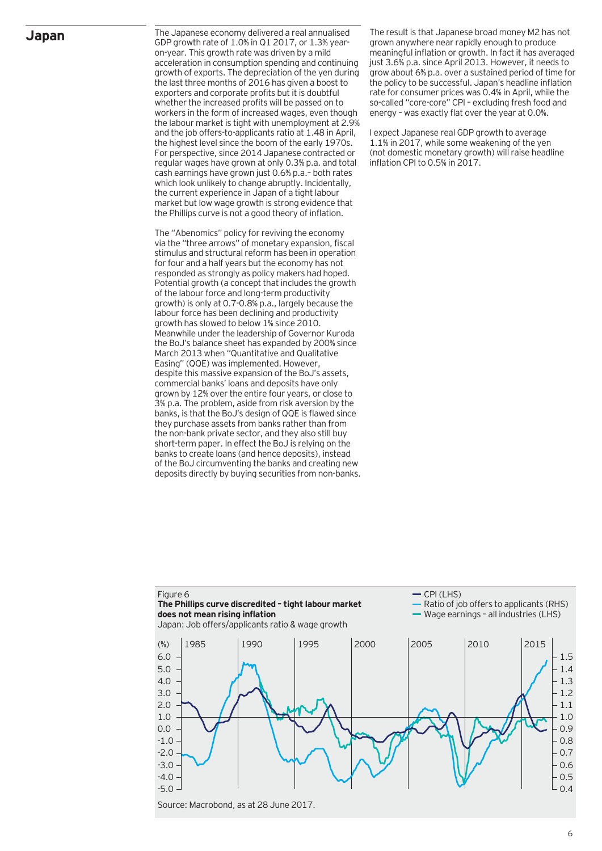## **Japan**

The Japanese economy delivered a real annualised GDP growth rate of 1.0% in Q1 2017, or 1.3% yearon-year. This growth rate was driven by a mild acceleration in consumption spending and continuing growth of exports. The depreciation of the yen during the last three months of 2016 has given a boost to exporters and corporate profits but it is doubtful whether the increased profits will be passed on to workers in the form of increased wages, even though the labour market is tight with unemployment at 2.9% and the job offers-to-applicants ratio at 1.48 in April, the highest level since the boom of the early 1970s. For perspective, since 2014 Japanese contracted or regular wages have grown at only 0.3% p.a. and total cash earnings have grown just 0.6% p.a.– both rates which look unlikely to change abruptly. Incidentally, the current experience in Japan of a tight labour market but low wage growth is strong evidence that the Phillips curve is not a good theory of inflation.

The "Abenomics" policy for reviving the economy via the "three arrows" of monetary expansion, fiscal stimulus and structural reform has been in operation for four and a half years but the economy has not responded as strongly as policy makers had hoped. Potential growth (a concept that includes the growth of the labour force and long-term productivity growth) is only at 0.7-0.8% p.a., largely because the labour force has been declining and productivity growth has slowed to below 1% since 2010. Meanwhile under the leadership of Governor Kuroda the BoJ's balance sheet has expanded by 200% since March 2013 when "Quantitative and Qualitative Easing" (QQE) was implemented. However, despite this massive expansion of the BoJ's assets, commercial banks' loans and deposits have only grown by 12% over the entire four years, or close to 3% p.a. The problem, aside from risk aversion by the banks, is that the BoJ's design of QQE is flawed since they purchase assets from banks rather than from the non-bank private sector, and they also still buy short-term paper. In effect the BoJ is relying on the banks to create loans (and hence deposits), instead of the BoJ circumventing the banks and creating new deposits directly by buying securities from non-banks. The result is that Japanese broad money M2 has not grown anywhere near rapidly enough to produce meaningful inflation or growth. In fact it has averaged just 3.6% p.a. since April 2013. However, it needs to grow about 6% p.a. over a sustained period of time for the policy to be successful. Japan's headline inflation rate for consumer prices was 0.4% in April, while the so-called "core-core" CPI – excluding fresh food and energy – was exactly flat over the year at 0.0%.

I expect Japanese real GDP growth to average 1.1% in 2017, while some weakening of the yen (not domestic monetary growth) will raise headline inflation CPI to 0.5% in 2017.

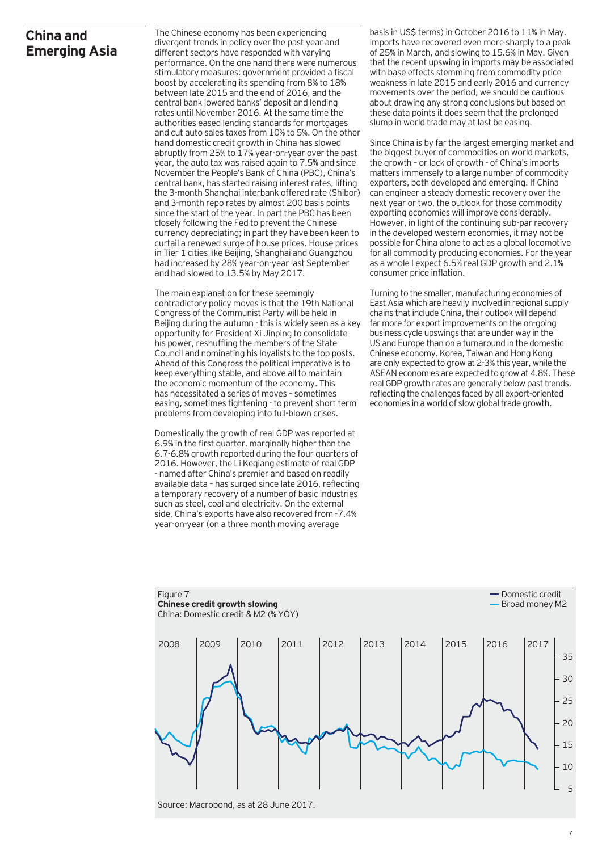# **China and Emerging Asia**

The Chinese economy has been experiencing divergent trends in policy over the past year and different sectors have responded with varying performance. On the one hand there were numerous stimulatory measures: government provided a fiscal boost by accelerating its spending from 8% to 18% between late 2015 and the end of 2016, and the central bank lowered banks' deposit and lending rates until November 2016. At the same time the authorities eased lending standards for mortgages and cut auto sales taxes from 10% to 5%. On the other hand domestic credit growth in China has slowed abruptly from 25% to 17% year-on-year over the past year, the auto tax was raised again to 7.5% and since November the People's Bank of China (PBC), China's central bank, has started raising interest rates, lifting the 3-month Shanghai interbank offered rate (Shibor) and 3-month repo rates by almost 200 basis points since the start of the year. In part the PBC has been closely following the Fed to prevent the Chinese currency depreciating; in part they have been keen to curtail a renewed surge of house prices. House prices in Tier 1 cities like Beijing, Shanghai and Guangzhou had increased by 28% year-on-year last September and had slowed to 13.5% by May 2017.

The main explanation for these seemingly contradictory policy moves is that the 19th National Congress of the Communist Party will be held in Beijing during the autumn - this is widely seen as a key opportunity for President Xi Jinping to consolidate his power, reshuffling the members of the State Council and nominating his loyalists to the top posts. Ahead of this Congress the political imperative is to keep everything stable, and above all to maintain the economic momentum of the economy. This has necessitated a series of moves – sometimes easing, sometimes tightening - to prevent short term problems from developing into full-blown crises.

Domestically the growth of real GDP was reported at 6.9% in the first quarter, marginally higher than the 6.7-6.8% growth reported during the four quarters of 2016. However, the Li Keqiang estimate of real GDP - named after China's premier and based on readily available data – has surged since late 2016, reflecting a temporary recovery of a number of basic industries such as steel, coal and electricity. On the external side, China's exports have also recovered from -7.4% year-on-year (on a three month moving average

basis in US\$ terms) in October 2016 to 11% in May. Imports have recovered even more sharply to a peak of 25% in March, and slowing to 15.6% in May. Given that the recent upswing in imports may be associated with base effects stemming from commodity price weakness in late 2015 and early 2016 and currency movements over the period, we should be cautious about drawing any strong conclusions but based on these data points it does seem that the prolonged slump in world trade may at last be easing.

Since China is by far the largest emerging market and the biggest buyer of commodities on world markets, the growth – or lack of growth - of China's imports matters immensely to a large number of commodity exporters, both developed and emerging. If China can engineer a steady domestic recovery over the next year or two, the outlook for those commodity exporting economies will improve considerably. However, in light of the continuing sub-par recovery in the developed western economies, it may not be possible for China alone to act as a global locomotive for all commodity producing economies. For the year as a whole I expect 6.5% real GDP growth and 2.1% consumer price inflation.

Turning to the smaller, manufacturing economies of East Asia which are heavily involved in regional supply chains that include China, their outlook will depend far more for export improvements on the on-going business cycle upswings that are under way in the US and Europe than on a turnaround in the domestic Chinese economy. Korea, Taiwan and Hong Kong are only expected to grow at 2-3% this year, while the ASEAN economies are expected to grow at 4.8%. These real GDP growth rates are generally below past trends, reflecting the challenges faced by all export-oriented economies in a world of slow global trade growth.

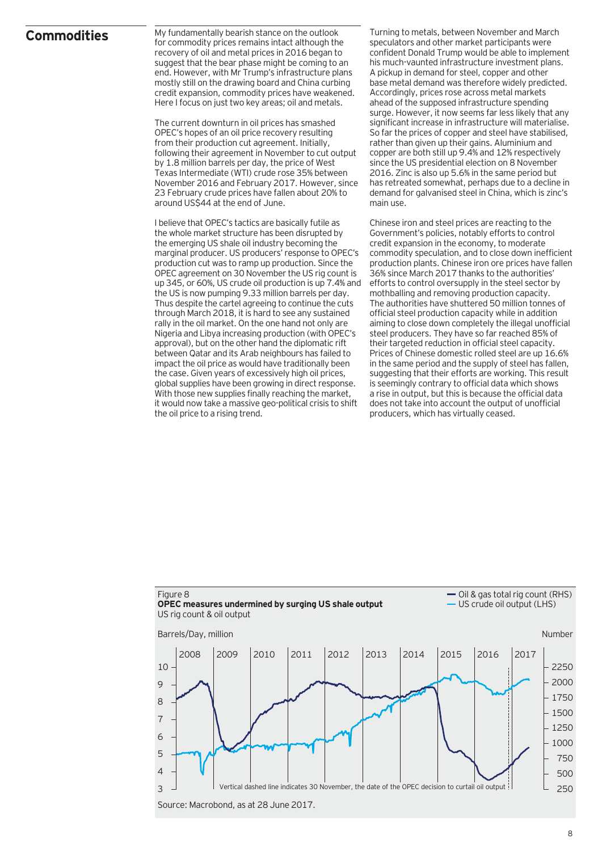## **Commodities**

My fundamentally bearish stance on the outlook for commodity prices remains intact although the recovery of oil and metal prices in 2016 began to suggest that the bear phase might be coming to an end. However, with Mr Trump's infrastructure plans mostly still on the drawing board and China curbing credit expansion, commodity prices have weakened. Here I focus on just two key areas; oil and metals.

The current downturn in oil prices has smashed OPEC's hopes of an oil price recovery resulting from their production cut agreement. Initially, following their agreement in November to cut output by 1.8 million barrels per day, the price of West Texas Intermediate (WTI) crude rose 35% between November 2016 and February 2017. However, since 23 February crude prices have fallen about 20% to around US\$44 at the end of June.

I believe that OPEC's tactics are basically futile as the whole market structure has been disrupted by the emerging US shale oil industry becoming the marginal producer. US producers' response to OPEC's production cut was to ramp up production. Since the OPEC agreement on 30 November the US rig count is up 345, or 60%, US crude oil production is up 7.4% and the US is now pumping 9.33 million barrels per day. Thus despite the cartel agreeing to continue the cuts through March 2018, it is hard to see any sustained rally in the oil market. On the one hand not only are Nigeria and Libya increasing production (with OPEC's approval), but on the other hand the diplomatic rift between Qatar and its Arab neighbours has failed to impact the oil price as would have traditionally been the case. Given years of excessively high oil prices, global supplies have been growing in direct response. With those new supplies finally reaching the market, it would now take a massive geo-political crisis to shift the oil price to a rising trend.

Turning to metals, between November and March speculators and other market participants were confident Donald Trump would be able to implement his much-vaunted infrastructure investment plans. A pickup in demand for steel, copper and other base metal demand was therefore widely predicted. Accordingly, prices rose across metal markets ahead of the supposed infrastructure spending surge. However, it now seems far less likely that any significant increase in infrastructure will materialise. So far the prices of copper and steel have stabilised, rather than given up their gains. Aluminium and copper are both still up 9.4% and 12% respectively since the US presidential election on 8 November 2016. Zinc is also up 5.6% in the same period but has retreated somewhat, perhaps due to a decline in demand for galvanised steel in China, which is zinc's main use.

Chinese iron and steel prices are reacting to the Government's policies, notably efforts to control credit expansion in the economy, to moderate commodity speculation, and to close down inefficient production plants. Chinese iron ore prices have fallen 36% since March 2017 thanks to the authorities' efforts to control oversupply in the steel sector by mothballing and removing production capacity. The authorities have shuttered 50 million tonnes of official steel production capacity while in addition aiming to close down completely the illegal unofficial steel producers. They have so far reached 85% of their targeted reduction in official steel capacity. Prices of Chinese domestic rolled steel are up 16.6% in the same period and the supply of steel has fallen, suggesting that their efforts are working. This result is seemingly contrary to official data which shows a rise in output, but this is because the official data does not take into account the output of unofficial producers, which has virtually ceased.

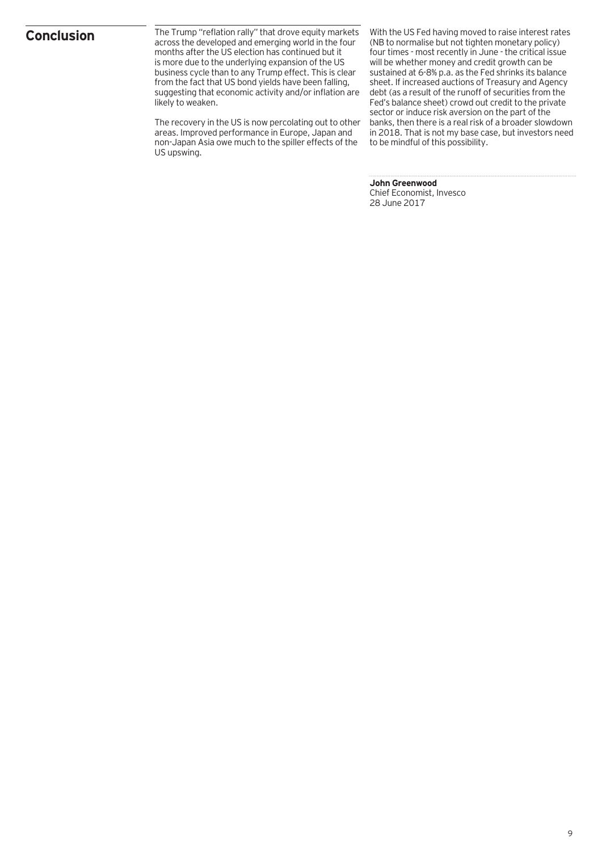# **Conclusion**

The Trump "reflation rally" that drove equity markets across the developed and emerging world in the four months after the US election has continued but it is more due to the underlying expansion of the US business cycle than to any Trump effect. This is clear from the fact that US bond yields have been falling, suggesting that economic activity and/or inflation are likely to weaken.

The recovery in the US is now percolating out to other areas. Improved performance in Europe, Japan and non-Japan Asia owe much to the spiller effects of the US upswing.

With the US Fed having moved to raise interest rates (NB to normalise but not tighten monetary policy) four times - most recently in June - the critical issue will be whether money and credit growth can be sustained at 6-8% p.a. as the Fed shrinks its balance sheet. If increased auctions of Treasury and Agency debt (as a result of the runoff of securities from the Fed's balance sheet) crowd out credit to the private sector or induce risk aversion on the part of the banks, then there is a real risk of a broader slowdown in 2018. That is not my base case, but investors need to be mindful of this possibility.

### **John Greenwood**

Chief Economist, Invesco 28 June 2017